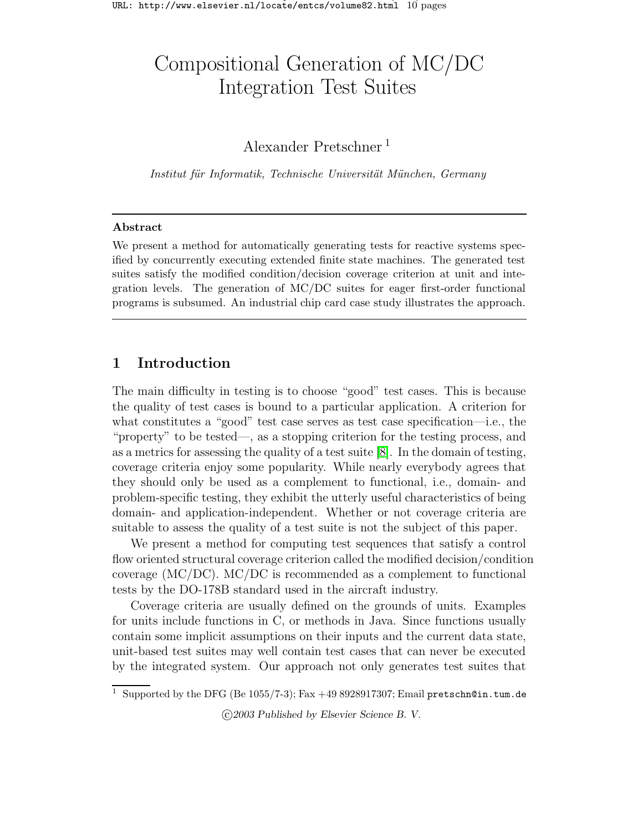# Compositional Generation of MC/DC Integration Test Suites

## Alexander Pretschner <sup>1</sup>

Institut für Informatik, Technische Universität München, Germany

#### Abstract

We present a method for automatically generating tests for reactive systems specified by concurrently executing extended finite state machines. The generated test suites satisfy the modified condition/decision coverage criterion at unit and integration levels. The generation of MC/DC suites for eager first-order functional programs is subsumed. An industrial chip card case study illustrates the approach.

### 1 Introduction

The main difficulty in testing is to choose "good" test cases. This is because the quality of test cases is bound to a particular application. A criterion for what constitutes a "good" test case serves as test case specification—i.e., the "property" to be tested—, as a stopping criterion for the testing process, and as a metrics for assessing the quality of a test suite [\[8\]](#page-9-0). In the domain of testing, coverage criteria enjoy some popularity. While nearly everybody agrees that they should only be used as a complement to functional, i.e., domain- and problem-specific testing, they exhibit the utterly useful characteristics of being domain- and application-independent. Whether or not coverage criteria are suitable to assess the quality of a test suite is not the subject of this paper.

We present a method for computing test sequences that satisfy a control flow oriented structural coverage criterion called the modified decision/condition coverage (MC/DC). MC/DC is recommended as a complement to functional tests by the DO-178B standard used in the aircraft industry.

Coverage criteria are usually defined on the grounds of units. Examples for units include functions in C, or methods in Java. Since functions usually contain some implicit assumptions on their inputs and the current data state, unit-based test suites may well contain test cases that can never be executed by the integrated system. Our approach not only generates test suites that

c 2003 Published by Elsevier Science B. V.

 $\frac{1}{1}$  Supported by the DFG (Be 1055/7-3); Fax +49 8928917307; Email pretschn@in.tum.de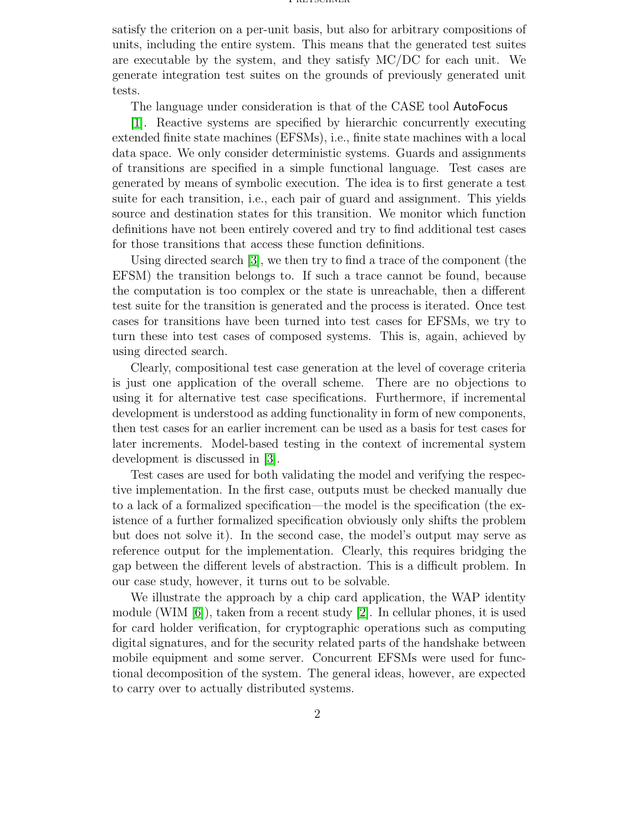satisfy the criterion on a per-unit basis, but also for arbitrary compositions of units, including the entire system. This means that the generated test suites are executable by the system, and they satisfy MC/DC for each unit. We generate integration test suites on the grounds of previously generated unit tests.

The language under consideration is that of the CASE tool AutoFocus

[\[1\]](#page-9-1). Reactive systems are specified by hierarchic concurrently executing extended finite state machines (EFSMs), i.e., finite state machines with a local data space. We only consider deterministic systems. Guards and assignments of transitions are specified in a simple functional language. Test cases are generated by means of symbolic execution. The idea is to first generate a test suite for each transition, i.e., each pair of guard and assignment. This yields source and destination states for this transition. We monitor which function definitions have not been entirely covered and try to find additional test cases for those transitions that access these function definitions.

Using directed search [\[3\]](#page-9-2), we then try to find a trace of the component (the EFSM) the transition belongs to. If such a trace cannot be found, because the computation is too complex or the state is unreachable, then a different test suite for the transition is generated and the process is iterated. Once test cases for transitions have been turned into test cases for EFSMs, we try to turn these into test cases of composed systems. This is, again, achieved by using directed search.

Clearly, compositional test case generation at the level of coverage criteria is just one application of the overall scheme. There are no objections to using it for alternative test case specifications. Furthermore, if incremental development is understood as adding functionality in form of new components, then test cases for an earlier increment can be used as a basis for test cases for later increments. Model-based testing in the context of incremental system development is discussed in [\[3\]](#page-9-2).

Test cases are used for both validating the model and verifying the respective implementation. In the first case, outputs must be checked manually due to a lack of a formalized specification—the model is the specification (the existence of a further formalized specification obviously only shifts the problem but does not solve it). In the second case, the model's output may serve as reference output for the implementation. Clearly, this requires bridging the gap between the different levels of abstraction. This is a difficult problem. In our case study, however, it turns out to be solvable.

We illustrate the approach by a chip card application, the WAP identity module (WIM [\[6\]](#page-9-3)), taken from a recent study [\[2\]](#page-9-4). In cellular phones, it is used for card holder verification, for cryptographic operations such as computing digital signatures, and for the security related parts of the handshake between mobile equipment and some server. Concurrent EFSMs were used for functional decomposition of the system. The general ideas, however, are expected to carry over to actually distributed systems.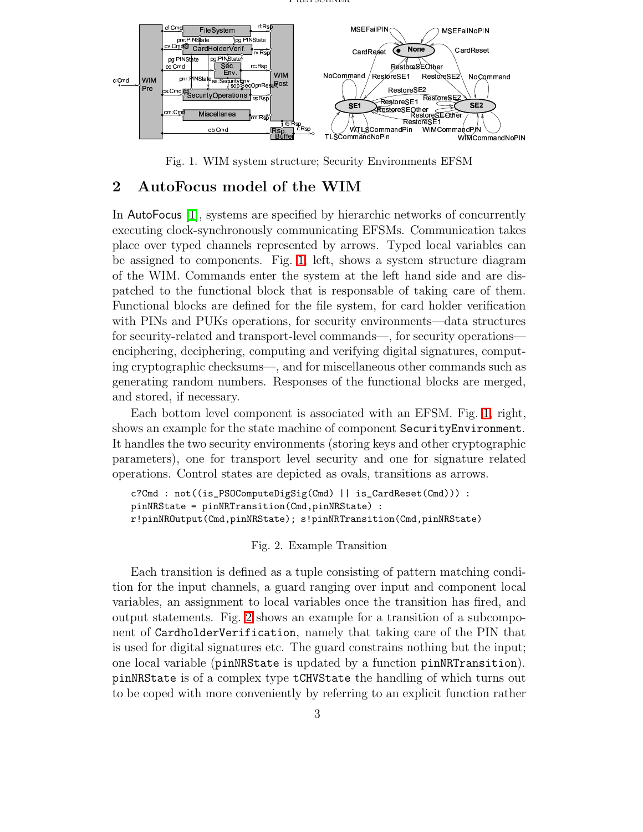

Fig. 1. WIM system structure; Security Environments EFSM

### <span id="page-2-0"></span>2 AutoFocus model of the WIM

In AutoFocus [\[1\]](#page-9-1), systems are specified by hierarchic networks of concurrently executing clock-synchronously communicating EFSMs. Communication takes place over typed channels represented by arrows. Typed local variables can be assigned to components. Fig. [1,](#page-2-0) left, shows a system structure diagram of the WIM. Commands enter the system at the left hand side and are dispatched to the functional block that is responsable of taking care of them. Functional blocks are defined for the file system, for card holder verification with PINs and PUKs operations, for security environments—data structures for security-related and transport-level commands—, for security operations enciphering, deciphering, computing and verifying digital signatures, computing cryptographic checksums—, and for miscellaneous other commands such as generating random numbers. Responses of the functional blocks are merged, and stored, if necessary.

Each bottom level component is associated with an EFSM. Fig. [1,](#page-2-0) right, shows an example for the state machine of component SecurityEnvironment. It handles the two security environments (storing keys and other cryptographic parameters), one for transport level security and one for signature related operations. Control states are depicted as ovals, transitions as arrows.

```
c?Cmd : not((is_PSOComputeDigSig(Cmd) || is_CardReset(Cmd))) :
pinNRState = pinNRTransition(Cmd,pinNRState) :
r!pinNROutput(Cmd,pinNRState); s!pinNRTransition(Cmd,pinNRState)
```
### <span id="page-2-1"></span>Fig. 2. Example Transition

Each transition is defined as a tuple consisting of pattern matching condition for the input channels, a guard ranging over input and component local variables, an assignment to local variables once the transition has fired, and output statements. Fig. [2](#page-2-1) shows an example for a transition of a subcomponent of CardholderVerification, namely that taking care of the PIN that is used for digital signatures etc. The guard constrains nothing but the input; one local variable (pinNRState is updated by a function pinNRTransition). pinNRState is of a complex type tCHVState the handling of which turns out to be coped with more conveniently by referring to an explicit function rather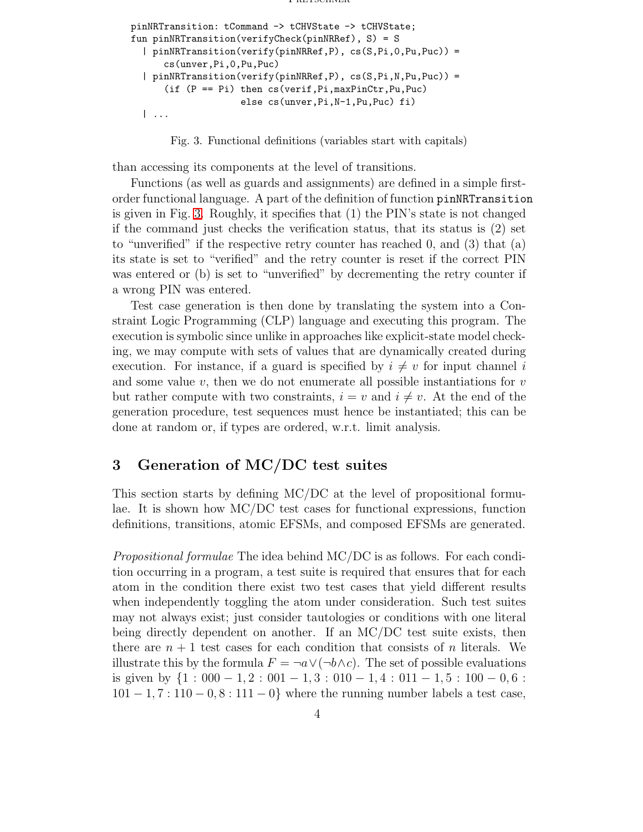```
r pretschner
```

```
pinNRTransition: tCommand -> tCHVState -> tCHVState;
fun pinNRTransition(verifyCheck(pinNRRef), S) = S
  | pinNRTransition(verify(pinNRRef,P), cs(S,Pi,0,Pu,Puc)) =
      cs(unver,Pi,0,Pu,Puc)
  | pinNRTransition(verify(pinNRRef,P), cs(S,Pi,N,Pu,Puc)) =
      (if (P == Pi) then cs(verif,Pi,maxPinCtr,Pu,Puc)
                    else cs(unver,Pi,N-1,Pu,Puc) fi)
  | ...
```
Fig. 3. Functional definitions (variables start with capitals)

<span id="page-3-0"></span>than accessing its components at the level of transitions.

Functions (as well as guards and assignments) are defined in a simple firstorder functional language. A part of the definition of function pinNRTransition is given in Fig. [3.](#page-3-0) Roughly, it specifies that (1) the PIN's state is not changed if the command just checks the verification status, that its status is (2) set to "unverified" if the respective retry counter has reached 0, and (3) that (a) its state is set to "verified" and the retry counter is reset if the correct PIN was entered or (b) is set to "unverified" by decrementing the retry counter if a wrong PIN was entered.

Test case generation is then done by translating the system into a Constraint Logic Programming (CLP) language and executing this program. The execution is symbolic since unlike in approaches like explicit-state model checking, we may compute with sets of values that are dynamically created during execution. For instance, if a guard is specified by  $i \neq v$  for input channel i and some value  $v$ , then we do not enumerate all possible instantiations for  $v$ but rather compute with two constraints,  $i = v$  and  $i \neq v$ . At the end of the generation procedure, test sequences must hence be instantiated; this can be done at random or, if types are ordered, w.r.t. limit analysis.

### 3 Generation of MC/DC test suites

This section starts by defining MC/DC at the level of propositional formulae. It is shown how MC/DC test cases for functional expressions, function definitions, transitions, atomic EFSMs, and composed EFSMs are generated.

Propositional formulae The idea behind MC/DC is as follows. For each condition occurring in a program, a test suite is required that ensures that for each atom in the condition there exist two test cases that yield different results when independently toggling the atom under consideration. Such test suites may not always exist; just consider tautologies or conditions with one literal being directly dependent on another. If an MC/DC test suite exists, then there are  $n + 1$  test cases for each condition that consists of n literals. We illustrate this by the formula  $F = \neg a \vee (\neg b \wedge c)$ . The set of possible evaluations is given by  $\{1: 000 - 1, 2: 001 - 1, 3: 010 - 1, 4: 011 - 1, 5: 100 - 0, 6:$  $101 - 1, 7 : 110 - 0, 8 : 111 - 0$ } where the running number labels a test case,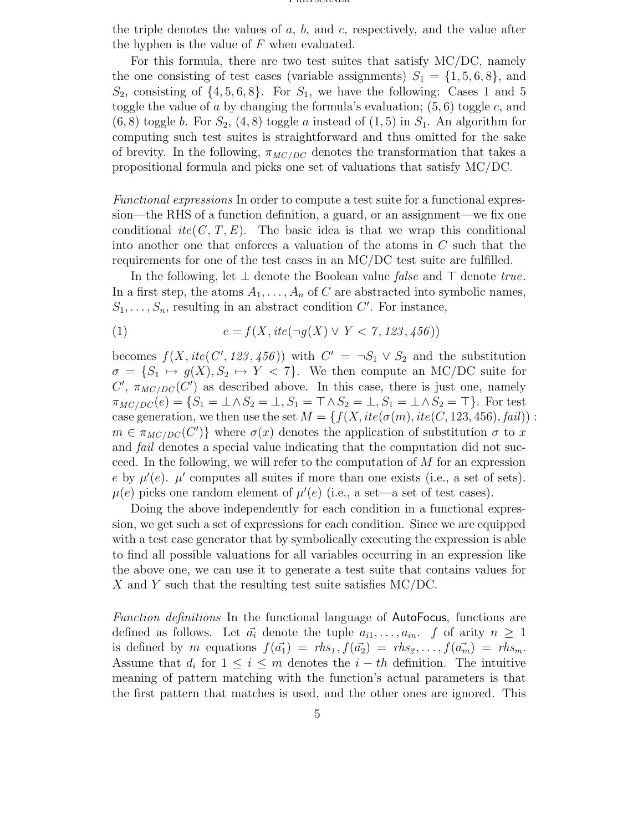the triple denotes the values of  $a, b$ , and  $c$ , respectively, and the value after the hyphen is the value of  $F$  when evaluated.

For this formula, there are two test suites that satisfy MC/DC, namely the one consisting of test cases (variable assignments)  $S_1 = \{1, 5, 6, 8\}$ , and  $S_2$ , consisting of  $\{4, 5, 6, 8\}$ . For  $S_1$ , we have the following: Cases 1 and 5 toggle the value of a by changing the formula's evaluation;  $(5, 6)$  toggle c, and  $(6, 8)$  toggle b. For  $S_2$ ,  $(4, 8)$  toggle a instead of  $(1, 5)$  in  $S_1$ . An algorithm for computing such test suites is straightforward and thus omitted for the sake of brevity. In the following,  $\pi_{MC/DC}$  denotes the transformation that takes a propositional formula and picks one set of valuations that satisfy MC/DC.

Functional expressions In order to compute a test suite for a functional expression—the RHS of a function definition, a guard, or an assignment—we fix one conditional  $ite(C, T, E)$ . The basic idea is that we wrap this conditional into another one that enforces a valuation of the atoms in C such that the requirements for one of the test cases in an MC/DC test suite are fulfilled.

In the following, let  $\perp$  denote the Boolean value *false* and  $\top$  denote *true*. In a first step, the atoms  $A_1, \ldots, A_n$  of C are abstracted into symbolic names,  $S_1, \ldots, S_n$ , resulting in an abstract condition  $C'$ . For instance,

(1) 
$$
e = f(X, ite(\neg g(X) \lor Y < 7, 123, 456))
$$

becomes  $f(X,ite(C', 123, 456))$  with  $C' = \neg S_1 \lor S_2$  and the substitution  $\sigma = \{S_1 \mapsto g(X), S_2 \mapsto Y < 7\}.$  We then compute an MC/DC suite for  $C'$ ,  $\pi_{MC/DC}(C')$  as described above. In this case, there is just one, namely  $\pi_{MC/DC}(e) = \{S_1 = \bot \wedge S_2 = \bot, S_1 = \top \wedge S_2 = \bot, S_1 = \bot \wedge S_2 = \top\}.$  For test case generation, we then use the set  $M = \{f(X,ite(\sigma(m),ite(C, 123, 456), fail))\}$ :  $m \in \pi_{MC/DC}(C')$  where  $\sigma(x)$  denotes the application of substitution  $\sigma$  to x and fail denotes a special value indicating that the computation did not succeed. In the following, we will refer to the computation of M for an expression e by  $\mu'(e)$ .  $\mu'$  computes all suites if more than one exists (i.e., a set of sets).  $\mu(e)$  picks one random element of  $\mu'(e)$  (i.e., a set—a set of test cases).

Doing the above independently for each condition in a functional expression, we get such a set of expressions for each condition. Since we are equipped with a test case generator that by symbolically executing the expression is able to find all possible valuations for all variables occurring in an expression like the above one, we can use it to generate a test suite that contains values for X and Y such that the resulting test suite satisfies MC/DC.

Function definitions In the functional language of AutoFocus, functions are defined as follows. Let  $\vec{a}_i$  denote the tuple  $a_{i1}, \ldots, a_{in}$ . f of arity  $n \geq 1$ is defined by m equations  $f(\vec{a_1}) = r h s_1, f(\vec{a_2}) = r h s_2, \ldots, f(\vec{a_m}) = r h s_m$ . Assume that  $d_i$  for  $1 \leq i \leq m$  denotes the  $i - th$  definition. The intuitive meaning of pattern matching with the function's actual parameters is that the first pattern that matches is used, and the other ones are ignored. This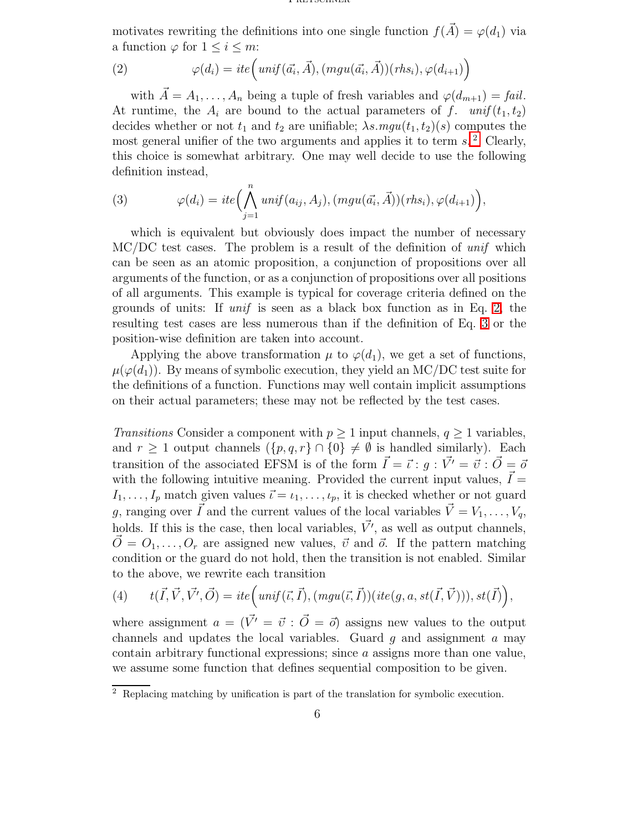<span id="page-5-1"></span>motivates rewriting the definitions into one single function  $f(\vec{A}) = \varphi(d_1)$  via a function  $\varphi$  for  $1 \leq i \leq m$ :

(2) 
$$
\varphi(d_i) = ite\Big(\text{unif }(\vec{a_i}, \vec{A}), (\text{mgu}(\vec{a_i}, \vec{A}))(\text{rhs}_i), \varphi(d_{i+1})\Big)
$$

with  $A = A_1, \ldots, A_n$  being a tuple of fresh variables and  $\varphi(d_{m+1}) = \text{fail.}$ At runtime, the  $A_i$  are bound to the actual parameters of f. unif  $(t_1, t_2)$ decides whether or not  $t_1$  and  $t_2$  are unifiable;  $\lambda s \cdot mgu(t_1, t_2)(s)$  computes the most general unifier of the two arguments and applies it to term  $s$ . <sup>[2](#page-5-0)</sup> Clearly, this choice is somewhat arbitrary. One may well decide to use the following definition instead,

<span id="page-5-2"></span>(3) 
$$
\varphi(d_i) = ite\Big(\bigwedge_{j=1}^n \mathop{unif}(a_{ij}, A_j), (\mathop{mgu}(\vec{a_i}, \vec{A}))(\mathop{rhs}_i), \varphi(d_{i+1})\Big),
$$

which is equivalent but obviously does impact the number of necessary MC/DC test cases. The problem is a result of the definition of unif which can be seen as an atomic proposition, a conjunction of propositions over all arguments of the function, or as a conjunction of propositions over all positions of all arguments. This example is typical for coverage criteria defined on the grounds of units: If unif is seen as a black box function as in Eq. [2,](#page-5-1) the resulting test cases are less numerous than if the definition of Eq. [3](#page-5-2) or the position-wise definition are taken into account.

Applying the above transformation  $\mu$  to  $\varphi(d_1)$ , we get a set of functions,  $\mu(\varphi(d_1))$ . By means of symbolic execution, they yield an MC/DC test suite for the definitions of a function. Functions may well contain implicit assumptions on their actual parameters; these may not be reflected by the test cases.

Transitions Consider a component with  $p \geq 1$  input channels,  $q \geq 1$  variables, and  $r \geq 1$  output channels  $(\{p,q,r\} \cap \{0\} \neq \emptyset$  is handled similarly). Each transition of the associated EFSM is of the form  $\vec{I} = \vec{u}$ :  $g : \vec{V'} = \vec{v} : \vec{O} = \vec{o}$ with the following intuitive meaning. Provided the current input values,  $\vec{I} =$  $I_1, \ldots, I_p$  match given values  $\vec{l} = \iota_1, \ldots, \iota_p$ , it is checked whether or not guard g, ranging over  $\vec{I}$  and the current values of the local variables  $\vec{V} = V_1, \ldots, V_q$ , holds. If this is the case, then local variables,  $\vec{V'}$ , as well as output channels,  $\overrightarrow{O} = O_1, \ldots, O_r$  are assigned new values,  $\overrightarrow{v}$  and  $\overrightarrow{o}$ . If the pattern matching condition or the guard do not hold, then the transition is not enabled. Similar to the above, we rewrite each transition

(4) 
$$
t(\vec{I}, \vec{V}, \vec{V'}, \vec{O}) = ite\Big(\text{unif }(\vec{t}, \vec{I}), (\text{mgu}(\vec{t}, \vec{I}))(\text{ite}(g, a, st(\vec{I}, \vec{V}))), st(\vec{I})\Big),
$$

where assignment  $a = (\vec{V'} = \vec{v} : \vec{O} = \vec{o})$  assigns new values to the output channels and updates the local variables. Guard  $g$  and assignment  $a$  may contain arbitrary functional expressions; since a assigns more than one value, we assume some function that defines sequential composition to be given.

<span id="page-5-0"></span><sup>&</sup>lt;sup>2</sup> Replacing matching by unification is part of the translation for symbolic execution.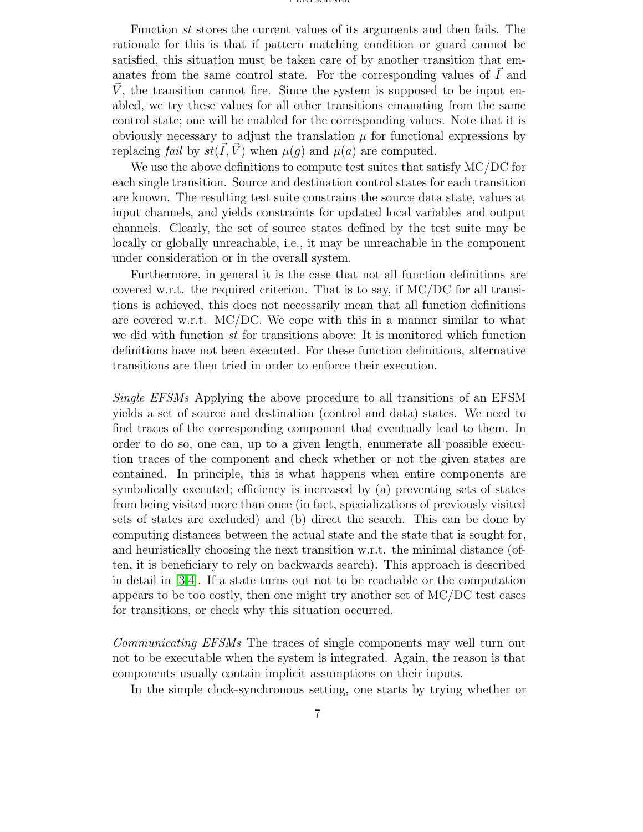Function st stores the current values of its arguments and then fails. The rationale for this is that if pattern matching condition or guard cannot be satisfied, this situation must be taken care of by another transition that emanates from the same control state. For the corresponding values of  $\overline{I}$  and  $V$ , the transition cannot fire. Since the system is supposed to be input enabled, we try these values for all other transitions emanating from the same control state; one will be enabled for the corresponding values. Note that it is obviously necessary to adjust the translation  $\mu$  for functional expressions by replacing fail by  $st(\vec{I}, \vec{V})$  when  $\mu(g)$  and  $\mu(a)$  are computed.

We use the above definitions to compute test suites that satisfy MC/DC for each single transition. Source and destination control states for each transition are known. The resulting test suite constrains the source data state, values at input channels, and yields constraints for updated local variables and output channels. Clearly, the set of source states defined by the test suite may be locally or globally unreachable, i.e., it may be unreachable in the component under consideration or in the overall system.

Furthermore, in general it is the case that not all function definitions are covered w.r.t. the required criterion. That is to say, if MC/DC for all transitions is achieved, this does not necessarily mean that all function definitions are covered w.r.t.  $MC/DC$ . We cope with this in a manner similar to what we did with function st for transitions above: It is monitored which function definitions have not been executed. For these function definitions, alternative transitions are then tried in order to enforce their execution.

Single EFSMs Applying the above procedure to all transitions of an EFSM yields a set of source and destination (control and data) states. We need to find traces of the corresponding component that eventually lead to them. In order to do so, one can, up to a given length, enumerate all possible execution traces of the component and check whether or not the given states are contained. In principle, this is what happens when entire components are symbolically executed; efficiency is increased by (a) preventing sets of states from being visited more than once (in fact, specializations of previously visited sets of states are excluded) and (b) direct the search. This can be done by computing distances between the actual state and the state that is sought for, and heuristically choosing the next transition w.r.t. the minimal distance (often, it is beneficiary to rely on backwards search). This approach is described in detail in [\[3](#page-9-2)[,4\]](#page-9-5). If a state turns out not to be reachable or the computation appears to be too costly, then one might try another set of MC/DC test cases for transitions, or check why this situation occurred.

Communicating EFSMs The traces of single components may well turn out not to be executable when the system is integrated. Again, the reason is that components usually contain implicit assumptions on their inputs.

In the simple clock-synchronous setting, one starts by trying whether or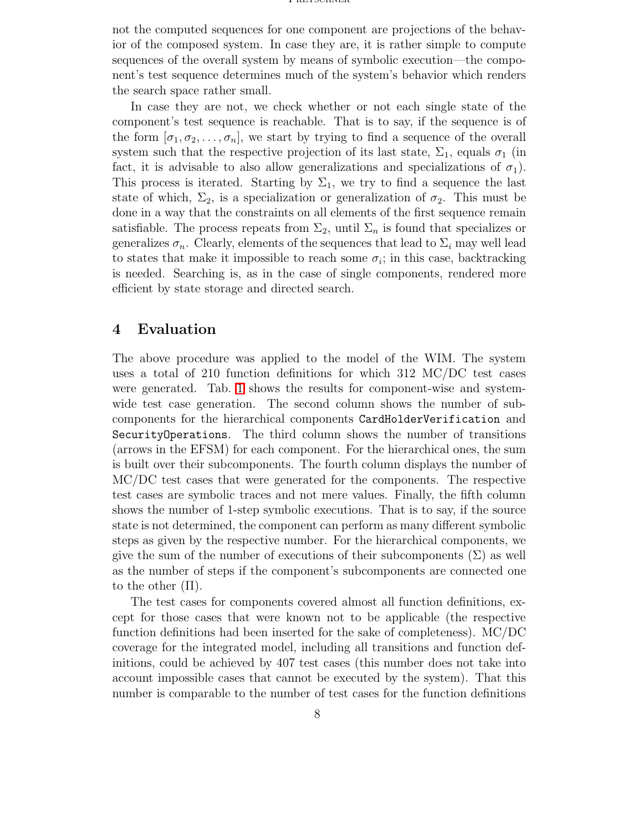not the computed sequences for one component are projections of the behavior of the composed system. In case they are, it is rather simple to compute sequences of the overall system by means of symbolic execution—the component's test sequence determines much of the system's behavior which renders the search space rather small.

In case they are not, we check whether or not each single state of the component's test sequence is reachable. That is to say, if the sequence is of the form  $[\sigma_1, \sigma_2, \ldots, \sigma_n]$ , we start by trying to find a sequence of the overall system such that the respective projection of its last state,  $\Sigma_1$ , equals  $\sigma_1$  (in fact, it is advisable to also allow generalizations and specializations of  $\sigma_1$ ). This process is iterated. Starting by  $\Sigma_1$ , we try to find a sequence the last state of which,  $\Sigma_2$ , is a specialization or generalization of  $\sigma_2$ . This must be done in a way that the constraints on all elements of the first sequence remain satisfiable. The process repeats from  $\Sigma_2$ , until  $\Sigma_n$  is found that specializes or generalizes  $\sigma_n$ . Clearly, elements of the sequences that lead to  $\Sigma_i$  may well lead to states that make it impossible to reach some  $\sigma_i$ ; in this case, backtracking is needed. Searching is, as in the case of single components, rendered more efficient by state storage and directed search.

### 4 Evaluation

The above procedure was applied to the model of the WIM. The system uses a total of 210 function definitions for which 312 MC/DC test cases were generated. Tab. [1](#page-8-0) shows the results for component-wise and systemwide test case generation. The second column shows the number of subcomponents for the hierarchical components CardHolderVerification and SecurityOperations. The third column shows the number of transitions (arrows in the EFSM) for each component. For the hierarchical ones, the sum is built over their subcomponents. The fourth column displays the number of MC/DC test cases that were generated for the components. The respective test cases are symbolic traces and not mere values. Finally, the fifth column shows the number of 1-step symbolic executions. That is to say, if the source state is not determined, the component can perform as many different symbolic steps as given by the respective number. For the hierarchical components, we give the sum of the number of executions of their subcomponents  $(\Sigma)$  as well as the number of steps if the component's subcomponents are connected one to the other  $(\Pi)$ .

The test cases for components covered almost all function definitions, except for those cases that were known not to be applicable (the respective function definitions had been inserted for the sake of completeness). MC/DC coverage for the integrated model, including all transitions and function definitions, could be achieved by 407 test cases (this number does not take into account impossible cases that cannot be executed by the system). That this number is comparable to the number of test cases for the function definitions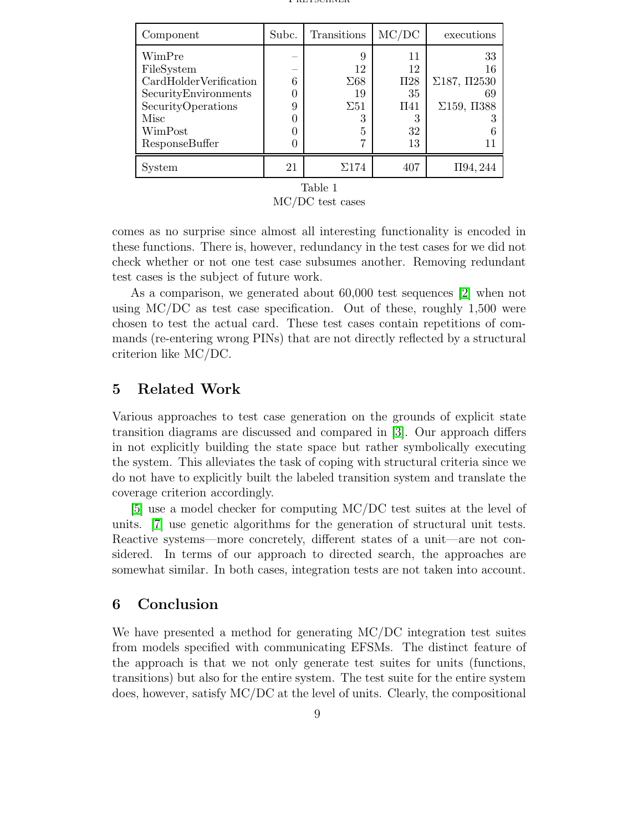r pretschner

| Component                                                                                                                         | Subc.  | Transitions                                           | MC/DC                                                        | executions                                                            |
|-----------------------------------------------------------------------------------------------------------------------------------|--------|-------------------------------------------------------|--------------------------------------------------------------|-----------------------------------------------------------------------|
| WimPre<br>FileSystem<br>CardHolderVerification<br>SecurityEnvironments<br>SecurityOperations<br>Misc<br>WimPost<br>ResponseBuffer | 6<br>9 | 9<br>12<br>$\Sigma 68$<br>19<br>$\Sigma 51$<br>3<br>5 | 11<br>12<br>$\Pi$ <sup>28</sup><br>35<br>$\Pi41$<br>32<br>13 | 33<br>16<br>$\Sigma$ 187, $\Pi$ 2530<br>69<br>$\Sigma$ 159, $\Pi$ 388 |
| System                                                                                                                            | 21     | $\Sigma$ 174                                          | 407                                                          | П94, 244                                                              |

Table 1

<span id="page-8-0"></span>MC/DC test cases

comes as no surprise since almost all interesting functionality is encoded in these functions. There is, however, redundancy in the test cases for we did not check whether or not one test case subsumes another. Removing redundant test cases is the subject of future work.

As a comparison, we generated about 60,000 test sequences [\[2\]](#page-9-4) when not using MC/DC as test case specification. Out of these, roughly 1,500 were chosen to test the actual card. These test cases contain repetitions of commands (re-entering wrong PINs) that are not directly reflected by a structural criterion like MC/DC.

### 5 Related Work

Various approaches to test case generation on the grounds of explicit state transition diagrams are discussed and compared in [\[3\]](#page-9-2). Our approach differs in not explicitly building the state space but rather symbolically executing the system. This alleviates the task of coping with structural criteria since we do not have to explicitly built the labeled transition system and translate the coverage criterion accordingly.

[\[5\]](#page-9-6) use a model checker for computing MC/DC test suites at the level of units. [\[7\]](#page-9-7) use genetic algorithms for the generation of structural unit tests. Reactive systems—more concretely, different states of a unit—are not considered. In terms of our approach to directed search, the approaches are somewhat similar. In both cases, integration tests are not taken into account.

### 6 Conclusion

We have presented a method for generating MC/DC integration test suites from models specified with communicating EFSMs. The distinct feature of the approach is that we not only generate test suites for units (functions, transitions) but also for the entire system. The test suite for the entire system does, however, satisfy MC/DC at the level of units. Clearly, the compositional